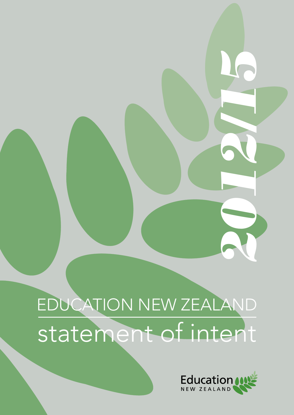# EDUCATION NEW ZEALAND statement of intent



2012/16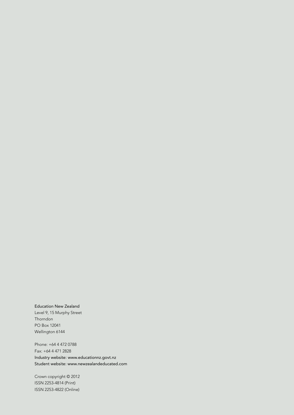#### Education New Zealand

Level 9, 15 Murphy Street Thorndon PO Box 12041 Wellington 6144

Phone: +64 4 472 0788 Fax: +64 4 471 2828 Industry website: www.educationnz.govt.nz Student website: www.newzealandeducated.com

Crown copyright © 2012 ISSN 2253-4814 (Print) ISSN 2253-4822 (Online)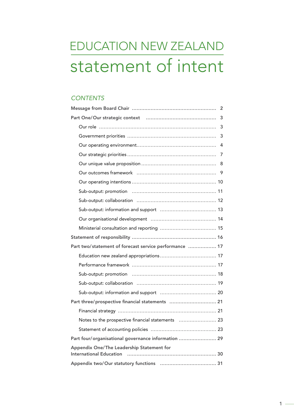# EDUCATION NEW ZEALAND statement of intent

# *CONTENTS*

|                                                                             | 3 |
|-----------------------------------------------------------------------------|---|
|                                                                             |   |
|                                                                             | 3 |
|                                                                             |   |
|                                                                             | 7 |
|                                                                             | 8 |
|                                                                             |   |
|                                                                             |   |
|                                                                             |   |
|                                                                             |   |
|                                                                             |   |
|                                                                             |   |
|                                                                             |   |
|                                                                             |   |
| Part two/statement of forecast service performance  17                      |   |
|                                                                             |   |
|                                                                             |   |
|                                                                             |   |
|                                                                             |   |
|                                                                             |   |
| Part three/prospective financial statements  21                             |   |
|                                                                             |   |
| Notes to the prospective financial statements  23                           |   |
|                                                                             |   |
| Part four/organisational governance information  29                         |   |
| Appendix One/The Leadership Statement for<br><b>International Education</b> |   |
|                                                                             |   |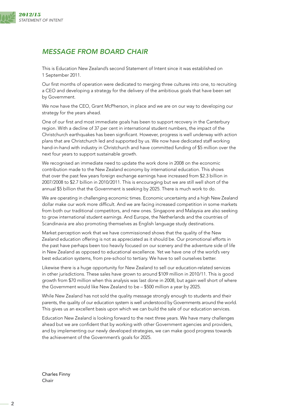<span id="page-3-0"></span>

# *MESSAGE FROM BOARD CHAIR*

This is Education New Zealand's second Statement of Intent since it was established on 1 September 2011.

Our first months of operation were dedicated to merging three cultures into one, to recruiting a CEO and developing a strategy for the delivery of the ambitious goals that have been set by Government.

We now have the CEO, Grant McPherson, in place and we are on our way to developing our strategy for the years ahead.

One of our first and most immediate goals has been to support recovery in the Canterbury region. With a decline of 37 per cent in international student numbers, the impact of the Christchurch earthquakes has been significant. However, progress is well underway with action plans that are Christchurch led and supported by us. We now have dedicated staff working hand-in-hand with industry in Christchurch and have committed funding of \$5 million over the next four years to support sustainable growth.

We recognised an immediate need to update the work done in 2008 on the economic contribution made to the New Zealand economy by international education. This shows that over the past few years foreign exchange earnings have increased from \$2.3 billion in 2007/2008 to \$2.7 billion in 2010/2011. This is encouraging but we are still well short of the annual \$5 billion that the Government is seeking by 2025. There is much work to do.

We are operating in challenging economic times. Economic uncertainty and a high New Zealand dollar make our work more difficult. And we are facing increased competition in some markets from both our traditional competitors, and new ones. Singapore and Malaysia are also seeking to grow international student earnings. And Europe, the Netherlands and the countries of Scandinavia are also promoting themselves as English language study destinations.

Market perception work that we have commissioned shows that the quality of the New Zealand education offering is not as appreciated as it should be. Our promotional efforts in the past have perhaps been too heavily focused on our scenery and the adventure side of life in New Zealand as opposed to educational excellence. Yet we have one of the world's very best education systems, from pre-school to tertiary. We have to sell ourselves better.

Likewise there is a huge opportunity for New Zealand to sell our education-related services in other jurisdictions. These sales have grown to around \$109 million in 2010/11. This is good growth from \$70 million when this analysis was last done in 2008, but again well short of where the Government would like New Zealand to be – \$500 million a year by 2025.

While New Zealand has not sold the quality message strongly enough to students and their parents, the quality of our education system is well understood by Governments around the world. This gives us an excellent basis upon which we can build the sale of our education services.

Education New Zealand is looking forward to the next three years. We have many challenges ahead but we are confident that by working with other Government agencies and providers, and by implementing our newly developed strategies, we can make good progress towards the achievement of the Government's goals for 2025.

Charles Finny Chair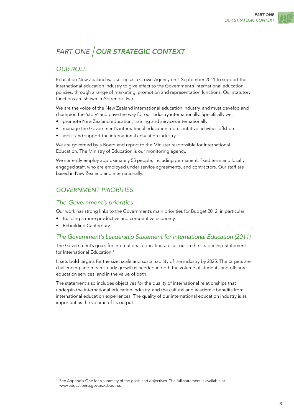# <span id="page-4-0"></span>*PART ONE* OUR STRATEGIC CONTEXT

# *OUR ROLE*

Education New Zealand was set up as a Crown Agency on 1 September 2011 to support the international education industry to give effect to the Government's international education policies, through a range of marketing, promotion and representation functions. Our statutory functions are shown in Appendix Two.

We are the voice of the New Zealand international education industry, and must develop and champion the 'story' and pave the way for our industry internationally. Specifically we:

- promote New Zealand education, training and services internationally
- manage the Government's international education representative activities offshore
- • assist and support the international education industry.

We are governed by a Board and report to the Minister responsible for International Education. The Ministry of Education is our monitoring agency.

We currently employ approximately 55 people, including permanent, fixed term and locally engaged staff, who are employed under service agreements, and contractors. Our staff are based in New Zealand and internationally.

# *GOVERNMENT PRIORITIES*

#### *The Government's priorities*

Our work has strong links to the Government's main priorities for Budget 2012, in particular:

- • Building a more productive and competitive economy
- Rebuilding Canterbury.

#### *The Government's Leadership Statement for International Education (2011)*

The Government's goals for international education are set out in the Leadership Statement for International Education.<sup>1</sup>

It sets bold targets for the size, scale and sustainability of the industry by 2025. The targets are challenging and mean steady growth is needed in both the volume of students and offshore education services, and in the value of both.

The statement also includes objectives for the quality of international relationships that underpin the international education industry, and the cultural and academic benefits from international education experiences. The quality of our international education industry is as important as the volume of its output.

<sup>1</sup> See Appendix One for a summary of the goals and objectives. The full statement is available at www.educationnz.govt.nz/about-us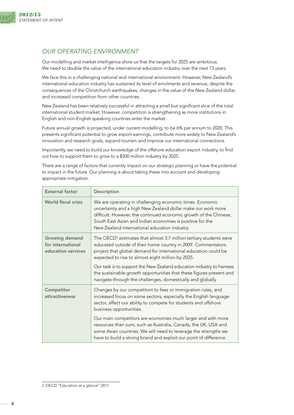<span id="page-5-0"></span>

# *OUR OPERATING ENVIRONMENT*

Our modelling and market intelligence show us that the targets for 2025 are ambitious. We need to double the value of the international education industry over the next 13 years.

We face this in a challenging national and international environment. However, New Zealand's international education industry has sustained its level of enrolments and revenue, despite the consequences of the Christchurch earthquakes, changes in the value of the New Zealand dollar, and increased competition from other countries.

New Zealand has been relatively successful in attracting a small but significant slice of the total international student market. However, competition is strengthening as more institutions in English and non-English speaking countries enter the market.

Future annual growth is projected, under current modelling, to be 6% per annum to 2020. This presents significant potential to grow export earnings, contribute more widely to New Zealand's innovation and research goals, expand tourism and improve our international connections.

Importantly, we need to build our knowledge of the offshore education export industry, to find out how to support them to grow to a \$500 million industry by 2025.

There are a range of factors that currently impact on our strategic planning or have the potential to impact in the future. Our planning is about taking these into account and developing appropriate mitigation.

| <b>External factor</b>                                           | Description                                                                                                                                                                                                                                                                                                                                    |
|------------------------------------------------------------------|------------------------------------------------------------------------------------------------------------------------------------------------------------------------------------------------------------------------------------------------------------------------------------------------------------------------------------------------|
| <b>World fiscal crisis</b>                                       | We are operating in challenging economic times. Economic<br>uncertainty and a high New Zealand dollar make our work more<br>difficult. However, the continued economic growth of the Chinese,<br>South East Asian and Indian economies is positive for the<br>New Zealand international education industry.                                    |
| <b>Growing demand</b><br>for international<br>education services | The OECD <sup>2</sup> estimates that almost 3.7 million tertiary students were<br>educated outside of their home country in 2009. Commentators<br>project that global demand for international education could be<br>expected to rise to almost eight million by 2025.<br>Our task is to support the New Zealand education industry to harness |
|                                                                  | the sustainable growth opportunities that these figures present and<br>navigate through the challenges, domestically and globally.                                                                                                                                                                                                             |
| Competitor<br>attractiveness                                     | Changes by our competitors to fees or immigration rules, and<br>increased focus on some sectors, especially the English language<br>sector, affect our ability to compete for students and offshore<br>business opportunities.                                                                                                                 |
|                                                                  | Our main competitors are economies much larger and with more<br>resources than ours, such as Australia, Canada, the UK, USA and<br>some Asian countries. We will need to leverage the strengths we<br>have to build a strong brand and exploit our point of difference.                                                                        |

<sup>2</sup> OECD "Education at a glance" 2011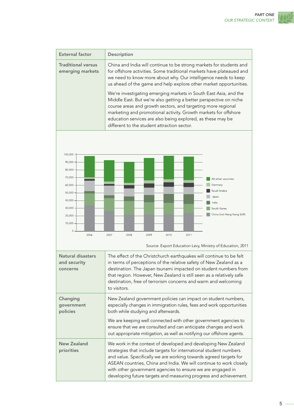

| <b>External factor</b>                        | Description                                                                                                                                                                                                                                                                                                                                                                                                                                                                                                                                                                                                                                                                  |
|-----------------------------------------------|------------------------------------------------------------------------------------------------------------------------------------------------------------------------------------------------------------------------------------------------------------------------------------------------------------------------------------------------------------------------------------------------------------------------------------------------------------------------------------------------------------------------------------------------------------------------------------------------------------------------------------------------------------------------------|
| <b>Traditional versus</b><br>emerging markets | China and India will continue to be strong markets for students and<br>for offshore activities. Some traditional markets have plateaued and<br>we need to know more about why. Our intelligence needs to keep<br>us ahead of the game and help explore other market opportunities.<br>We're investigating emerging markets in South East Asia, and the<br>Middle East. But we're also getting a better perspective on niche<br>course areas and growth sectors, and targeting more regional<br>marketing and promotional activity. Growth markets for offshore<br>education services are also being explored, as these may be<br>different to the student attraction sector. |



Source: Export Education Levy, Ministry of Education, 2011

| Natural disasters<br>and security<br>concerns | The effect of the Christchurch earthquakes will continue to be felt<br>in terms of perceptions of the relative safety of New Zealand as a<br>destination. The Japan tsunami impacted on student numbers from<br>that region. However, New Zealand is still seen as a relatively safe<br>destination, free of terrorism concerns and warm and welcoming<br>to visitors.                                            |
|-----------------------------------------------|-------------------------------------------------------------------------------------------------------------------------------------------------------------------------------------------------------------------------------------------------------------------------------------------------------------------------------------------------------------------------------------------------------------------|
| Changing<br>government<br>policies            | New Zealand government policies can impact on student numbers,<br>especially changes in immigration rules, fees and work opportunities<br>both while studying and afterwards.                                                                                                                                                                                                                                     |
|                                               | We are keeping well connected with other government agencies to<br>ensure that we are consulted and can anticipate changes and work<br>out appropriate mitigation, as well as notifying our offshore agents.                                                                                                                                                                                                      |
| <b>New Zealand</b><br>priorities              | We work in the context of developed and developing New Zealand<br>strategies that include targets for international student numbers<br>and value. Specifically we are working towards agreed targets for<br>ASEAN countries, China and India. We will continue to work closely<br>with other government agencies to ensure we are engaged in<br>developing future targets and measuring progress and achievement. |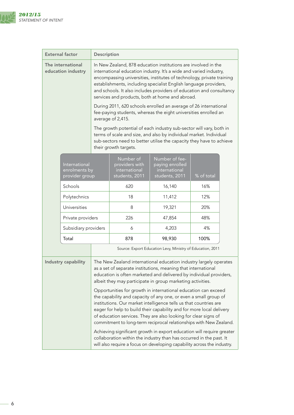

|                                                                                                                                                                                                                                                                                               | <b>External factor</b>                                                                                                                                                                                                  | <b>Description</b> |                                                                                                                                                                                                                                                                                                                                                                                                                                                                                  |                                                                      |            |  |  |  |
|-----------------------------------------------------------------------------------------------------------------------------------------------------------------------------------------------------------------------------------------------------------------------------------------------|-------------------------------------------------------------------------------------------------------------------------------------------------------------------------------------------------------------------------|--------------------|----------------------------------------------------------------------------------------------------------------------------------------------------------------------------------------------------------------------------------------------------------------------------------------------------------------------------------------------------------------------------------------------------------------------------------------------------------------------------------|----------------------------------------------------------------------|------------|--|--|--|
| The international<br>education industry                                                                                                                                                                                                                                                       |                                                                                                                                                                                                                         |                    | In New Zealand, 878 education institutions are involved in the<br>international education industry. It's a wide and varied industry,<br>encompassing universities, institutes of technology, private training<br>establishments, including specialist English language providers,<br>and schools. It also includes providers of education and consultancy<br>services and products, both at home and abroad.<br>During 2011, 620 schools enrolled an average of 26 international |                                                                      |            |  |  |  |
|                                                                                                                                                                                                                                                                                               |                                                                                                                                                                                                                         |                    | fee-paying students, whereas the eight universities enrolled an<br>average of 2,415.                                                                                                                                                                                                                                                                                                                                                                                             |                                                                      |            |  |  |  |
|                                                                                                                                                                                                                                                                                               |                                                                                                                                                                                                                         |                    | The growth potential of each industry sub-sector will vary, both in<br>terms of scale and size, and also by individual market. Individual<br>sub-sectors need to better utilise the capacity they have to achieve<br>their growth targets.                                                                                                                                                                                                                                       |                                                                      |            |  |  |  |
|                                                                                                                                                                                                                                                                                               | International<br>enrolments by<br>provider group                                                                                                                                                                        |                    | Number of<br>providers with<br>international<br>students, 2011                                                                                                                                                                                                                                                                                                                                                                                                                   | Number of fee-<br>paying enrolled<br>international<br>students, 2011 | % of total |  |  |  |
|                                                                                                                                                                                                                                                                                               | Schools                                                                                                                                                                                                                 |                    | 620                                                                                                                                                                                                                                                                                                                                                                                                                                                                              | 16,140                                                               | 16%        |  |  |  |
|                                                                                                                                                                                                                                                                                               | Polytechnics                                                                                                                                                                                                            |                    | 18<br>11,412                                                                                                                                                                                                                                                                                                                                                                                                                                                                     |                                                                      | 12%        |  |  |  |
|                                                                                                                                                                                                                                                                                               | Universities                                                                                                                                                                                                            |                    | 8                                                                                                                                                                                                                                                                                                                                                                                                                                                                                | 19,321<br>20%                                                        |            |  |  |  |
|                                                                                                                                                                                                                                                                                               | Private providers                                                                                                                                                                                                       |                    | 226                                                                                                                                                                                                                                                                                                                                                                                                                                                                              | 47,854                                                               | 48%        |  |  |  |
|                                                                                                                                                                                                                                                                                               | Subsidiary providers                                                                                                                                                                                                    |                    | 6                                                                                                                                                                                                                                                                                                                                                                                                                                                                                | 4,203                                                                | 4%         |  |  |  |
|                                                                                                                                                                                                                                                                                               | Total                                                                                                                                                                                                                   |                    | 878                                                                                                                                                                                                                                                                                                                                                                                                                                                                              | 98,930                                                               | 100%       |  |  |  |
|                                                                                                                                                                                                                                                                                               |                                                                                                                                                                                                                         |                    |                                                                                                                                                                                                                                                                                                                                                                                                                                                                                  | Source: Export Education Levy, Ministry of Education, 2011           |            |  |  |  |
| Industry capability<br>The New Zealand international education industry largely operates<br>as a set of separate institutions, meaning that international<br>education is often marketed and delivered by individual providers,<br>albeit they may participate in group marketing activities. |                                                                                                                                                                                                                         |                    |                                                                                                                                                                                                                                                                                                                                                                                                                                                                                  |                                                                      |            |  |  |  |
|                                                                                                                                                                                                                                                                                               |                                                                                                                                                                                                                         |                    | Opportunities for growth in international education can exceed<br>the capability and capacity of any one, or even a small group of<br>institutions. Our market intelligence tells us that countries are<br>eager for help to build their capability and for more local delivery<br>of education services. They are also looking for clear signs of<br>commitment to long-term reciprocal relationships with New Zealand.                                                         |                                                                      |            |  |  |  |
|                                                                                                                                                                                                                                                                                               | Achieving significant growth in export education will require greater<br>collaboration within the industry than has occurred in the past. It<br>will also require a focus on developing capability across the industry. |                    |                                                                                                                                                                                                                                                                                                                                                                                                                                                                                  |                                                                      |            |  |  |  |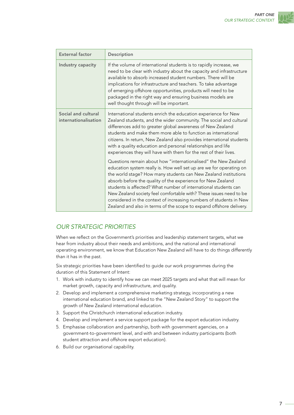

<span id="page-8-0"></span>

| <b>External factor</b>                      | Description                                                                                                                                                                                                                                                                                                                                                                                                                                                                                                                                                   |  |
|---------------------------------------------|---------------------------------------------------------------------------------------------------------------------------------------------------------------------------------------------------------------------------------------------------------------------------------------------------------------------------------------------------------------------------------------------------------------------------------------------------------------------------------------------------------------------------------------------------------------|--|
| Industry capacity                           | If the volume of international students is to rapidly increase, we<br>need to be clear with industry about the capacity and infrastructure<br>available to absorb increased student numbers. There will be<br>implications for infrastructure and teachers. To take advantage<br>of emerging offshore opportunities, products will need to be<br>packaged in the right way and ensuring business models are<br>well thought through will be important.                                                                                                        |  |
| Social and cultural<br>internationalisation | International students enrich the education experience for New<br>Zealand students, and the wider community. The social and cultural<br>differences add to greater global awareness of New Zealand<br>students and make them more able to function as international<br>citizens. In return, New Zealand also provides international students<br>with a quality education and personal relationships and life<br>experiences they will have with them for the rest of their lives.                                                                             |  |
|                                             | Questions remain about how "internationalised" the New Zealand<br>education system really is. How well set up are we for operating on<br>the world stage? How many students can New Zealand institutions<br>absorb before the quality of the experience for New Zealand<br>students is affected? What number of international students can<br>New Zealand society feel comfortable with? These issues need to be<br>considered in the context of increasing numbers of students in New<br>Zealand and also in terms of the scope to expand offshore delivery. |  |

# *OUR STRATEGIC PRIORITIES*

When we reflect on the Government's priorities and leadership statement targets, what we hear from industry about their needs and ambitions, and the national and international operating environment, we know that Education New Zealand will have to do things differently than it has in the past.

Six strategic priorities have been identified to guide our work programmes during the duration of this Statement of Intent:

- 1. Work with industry to identify how we can meet 2025 targets and what that will mean for market growth, capacity and infrastructure, and quality.
- 2. Develop and implement a comprehensive marketing strategy, incorporating a new international education brand, and linked to the "New Zealand Story" to support the growth of New Zealand international education.
- 3. Support the Christchurch international education industry.
- 4. Develop and implement a service support package for the export education industry.
- 5. Emphasise collaboration and partnership, both with government agencies, on a government-to-government level, and with and between industry participants (both student attraction and offshore export education).
- 6. Build our organisational capability.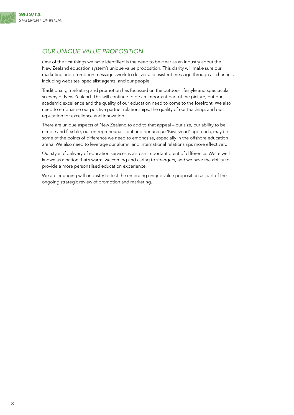<span id="page-9-0"></span>

# *OUR UNIQUE VALUE PROPOSITION*

One of the first things we have identified is the need to be clear as an industry about the New Zealand education system's unique value proposition. This clarity will make sure our marketing and promotion messages work to deliver a consistent message through all channels, including websites, specialist agents, and our people.

Traditionally, marketing and promotion has focussed on the outdoor lifestyle and spectacular scenery of New Zealand. This will continue to be an important part of the picture, but our academic excellence and the quality of our education need to come to the forefront. We also need to emphasise our positive partner relationships, the quality of our teaching, and our reputation for excellence and innovation.

There are unique aspects of New Zealand to add to that appeal – our size, our ability to be nimble and flexible, our entrepreneurial spirit and our unique 'Kiwi-smart' approach, may be some of the points of difference we need to emphasise, especially in the offshore education arena. We also need to leverage our alumni and international relationships more effectively.

Our style of delivery of education services is also an important point of difference. We're well known as a nation that's warm, welcoming and caring to strangers, and we have the ability to provide a more personalised education experience.

We are engaging with industry to test the emerging unique value proposition as part of the ongoing strategic review of promotion and marketing.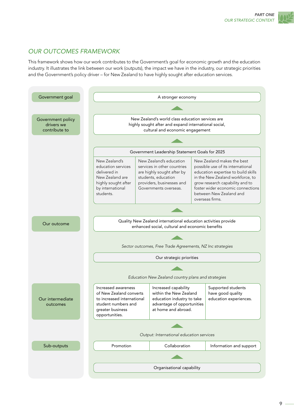# <span id="page-10-0"></span>*OUR OUTCOMES FRAMEWORK*

This framework shows how our work contributes to the Government's goal for economic growth and the education industry. It illustrates the link between our work (outputs), the impact we have in the industry, our strategic priorities and the Government's policy driver – for New Zealand to have highly sought after education services.

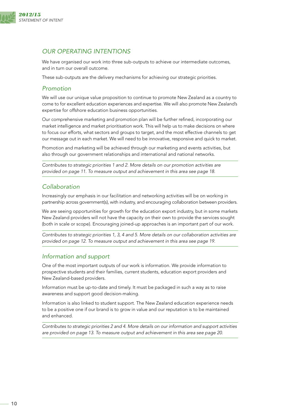<span id="page-11-0"></span>

# *OUR OPERATING INTENTIONS*

We have organised our work into three sub-outputs to achieve our intermediate outcomes, and in turn our overall outcome.

These sub-outputs are the delivery mechanisms for achieving our strategic priorities.

#### *Promotion*

We will use our unique value proposition to continue to promote New Zealand as a country to come to for excellent education experiences and expertise. We will also promote New Zealand's expertise for offshore education business opportunities.

Our comprehensive marketing and promotion plan will be further refined, incorporating our market intelligence and market prioritisation work. This will help us to make decisions on where to focus our efforts, what sectors and groups to target, and the most effective channels to get our message out in each market. We will need to be innovative, responsive and quick to market.

Promotion and marketing will be achieved through our marketing and events activities, but also through our government relationships and international and national networks.

*Contributes to strategic priorities 1 and 2. More details on our promotion activities are provided on page 11. To measure output and achievement in this area see page 18.*

### *Collaboration*

Increasingly our emphasis in our facilitation and networking activities will be on working in partnership across government(s), with industry, and encouraging collaboration between providers.

We are seeing opportunities for growth for the education export industry, but in some markets New Zealand providers will not have the capacity on their own to provide the services sought (both in scale or scope). Encouraging joined-up approaches is an important part of our work.

*Contributes to strategic priorities 1, 3, 4 and 5. More details on our collaboration activities are provided on page 12. To measure output and achievement in this area see page 19.*

### *Information and support*

One of the most important outputs of our work is information. We provide information to prospective students and their families, current students, education export providers and New Zealand-based providers.

Information must be up-to-date and timely. It must be packaged in such a way as to raise awareness and support good decision-making.

Information is also linked to student support. The New Zealand education experience needs to be a positive one if our brand is to grow in value and our reputation is to be maintained and enhanced.

*Contributes to strategic priorities 2 and 4. More details on our information and support activities are provided on page 13. To measure output and achievement in this area see page 20.*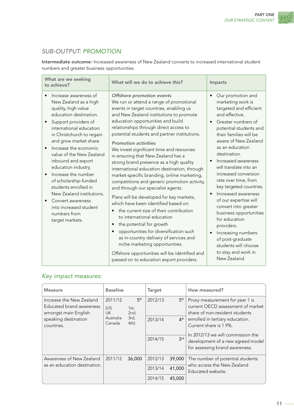# <span id="page-12-0"></span>*SUB-OUTPUT: PROMOTION*

Intermediate outcome: Increased awareness of New Zealand converts to increased international student numbers and greater business opportunities.

| What are we seeking<br>to achieve?                                                                                                                                                                                                                                                                                                                                                                                                                                                                 | What will we do to achieve this?                                                                                                                                                                                                                                                                                                                                                                                                                                                                                                                                                                                                                                                                                                                                                                                                                                                                                                                                                                                                                                                             | Impacts                                                                                                                                                                                                                                                                                                                                                                                                                                                                                                                                                                                                                                                        |
|----------------------------------------------------------------------------------------------------------------------------------------------------------------------------------------------------------------------------------------------------------------------------------------------------------------------------------------------------------------------------------------------------------------------------------------------------------------------------------------------------|----------------------------------------------------------------------------------------------------------------------------------------------------------------------------------------------------------------------------------------------------------------------------------------------------------------------------------------------------------------------------------------------------------------------------------------------------------------------------------------------------------------------------------------------------------------------------------------------------------------------------------------------------------------------------------------------------------------------------------------------------------------------------------------------------------------------------------------------------------------------------------------------------------------------------------------------------------------------------------------------------------------------------------------------------------------------------------------------|----------------------------------------------------------------------------------------------------------------------------------------------------------------------------------------------------------------------------------------------------------------------------------------------------------------------------------------------------------------------------------------------------------------------------------------------------------------------------------------------------------------------------------------------------------------------------------------------------------------------------------------------------------------|
| Increase awareness of<br>New Zealand as a high<br>quality, high value<br>education destination.<br>Support providers of<br>international education<br>in Christchurch to regain<br>and grow market share.<br>Increase the economic<br>value of the New Zealand<br>inbound and export<br>education industry.<br>Increase the number<br>of scholarship-funded<br>students enrolled in<br>New Zealand institutions.<br>Convert awareness<br>into increased student<br>numbers from<br>target markets. | Offshore promotion events<br>We run or attend a range of promotional<br>events in target countries, enabling us<br>and New Zealand institutions to promote<br>education opportunities and build<br>relationships through direct access to<br>potential students and partner institutions.<br><b>Promotion activities</b><br>We invest significant time and resources<br>in ensuring that New Zealand has a<br>strong brand presence as a high quality<br>international education destination, through<br>market-specific branding, online marketing,<br>competitions and generic promotion activity,<br>and through our specialist agents.<br>Plans will be developed for key markets,<br>which have been identified based on:<br>the current size of their contribution<br>$\bullet$<br>to international education<br>the potential for growth<br>$\bullet$<br>opportunities for diversification such<br>$\bullet$<br>as in-country delivery of services and<br>niche marketing opportunities.<br>Offshore opportunities will be identified and<br>passed on to education export providers. | Our promotion and<br>$\bullet$<br>marketing work is<br>targeted and efficient<br>and effective.<br>Greater numbers of<br>$\bullet$<br>potential students and<br>their families will be<br>aware of New Zealand<br>as an education<br>destination.<br>Increased awareness<br>$\bullet$<br>will translate into an<br>increased conversion<br>rate over time, from<br>key targeted countries.<br>Increased awareness<br>$\bullet$<br>of our expertise will<br>convert into greater<br>business opportunities<br>for education<br>providers.<br>Increasing numbers<br>$\bullet$<br>of post-graduate<br>students will choose<br>to stay and work in<br>New Zealand. |

# *Key impact measures:*

| <b>Measure</b>                                                                                                     | <b>Baseline</b>                                    |                                                    | <b>Target</b>      |                                    | How measured?                                                                                                                                                       |
|--------------------------------------------------------------------------------------------------------------------|----------------------------------------------------|----------------------------------------------------|--------------------|------------------------------------|---------------------------------------------------------------------------------------------------------------------------------------------------------------------|
| Increase the New Zealand<br>Educated brand awareness<br>amongst main English<br>speaking destination<br>countries. | 2011/12<br>(US<br><b>UK</b><br>Australia<br>Canada | 5 <sup>th</sup><br>1st,<br>2nd,<br>3rd,<br>$4th$ ) | 2012/13<br>2013/14 | 5 <sup>th</sup><br>4 <sup>th</sup> | Proxy measurement for year 1 is<br>current OECD assessment of market<br>share of non-resident students<br>enrolled in tertiary education.<br>Current share is 1.9%. |
|                                                                                                                    |                                                    |                                                    | 2014/15            | 3 <sup>rd</sup>                    | In 2012/13 we will commission the<br>development of a new agreed model<br>for assessing brand awareness.                                                            |
| Awareness of New Zealand                                                                                           | 2011/12                                            | 36,000                                             | 2012/13            | 39,000                             | The number of potential students                                                                                                                                    |
| as an education destination.                                                                                       |                                                    |                                                    | 2013/14            | 41,000                             | who access the New Zealand<br>Educated website.                                                                                                                     |
|                                                                                                                    |                                                    |                                                    | 2014/15            | 45,000                             |                                                                                                                                                                     |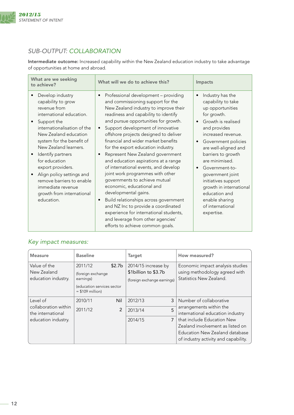<span id="page-13-0"></span>

# *SUB-OUTPUT: COLLABORATION*

Intermediate outcome: Increased capability within the New Zealand education industry to take advantage of opportunities at home and abroad.

| What are we seeking<br>to achieve?                                                                                                                                                                                                                                                                                                                                                                   | What will we do to achieve this?                                                                                                                                                                                                                                                                                                                                                                                                                                                                                                                                                                                                                                                                                                                                                                                                                                   | Impacts                                                                                                                                                                                                                                                                                                                                                                                                                                       |
|------------------------------------------------------------------------------------------------------------------------------------------------------------------------------------------------------------------------------------------------------------------------------------------------------------------------------------------------------------------------------------------------------|--------------------------------------------------------------------------------------------------------------------------------------------------------------------------------------------------------------------------------------------------------------------------------------------------------------------------------------------------------------------------------------------------------------------------------------------------------------------------------------------------------------------------------------------------------------------------------------------------------------------------------------------------------------------------------------------------------------------------------------------------------------------------------------------------------------------------------------------------------------------|-----------------------------------------------------------------------------------------------------------------------------------------------------------------------------------------------------------------------------------------------------------------------------------------------------------------------------------------------------------------------------------------------------------------------------------------------|
| Develop industry<br>capability to grow<br>revenue from<br>international education.<br>Support the<br>internationalisation of the<br>New Zealand education<br>system for the benefit of<br>New Zealand learners.<br>Identify partners<br>for education<br>export providers.<br>Align policy settings and<br>remove barriers to enable<br>immediate revenue<br>growth from international<br>education. | Professional development - providing<br>$\bullet$<br>and commissioning support for the<br>New Zealand industry to improve their<br>readiness and capability to identify<br>and pursue opportunities for growth.<br>Support development of innovative<br>$\bullet$<br>offshore projects designed to deliver<br>financial and wider market benefits<br>for the export education industry.<br>Represent New Zealand government<br>$\bullet$<br>and education aspirations at a range<br>of international events, and develop<br>joint work programmes with other<br>governments to achieve mutual<br>economic, educational and<br>developmental gains.<br>Build relationships across government<br>$\bullet$<br>and NZ Inc to provide a coordinated<br>experience for international students,<br>and leverage from other agencies'<br>efforts to achieve common goals. | Industry has the<br>$\bullet$<br>capability to take<br>up opportunities<br>for growth.<br>Growth is realised<br>$\bullet$<br>and provides<br>increased revenue.<br>Government policies<br>$\bullet$<br>are well-aligned and<br>barriers to growth<br>are minimised.<br>Government-to-<br>$\bullet$<br>government joint<br>initiatives support<br>growth in international<br>education and<br>enable sharing<br>of international<br>expertise. |

# *Key impact measures:*

| Measure                                            | <b>Baseline</b>                                                                              |                    | <b>Target</b>                                                              | How measured?                                                                                                                            |
|----------------------------------------------------|----------------------------------------------------------------------------------------------|--------------------|----------------------------------------------------------------------------|------------------------------------------------------------------------------------------------------------------------------------------|
| Value of the<br>New Zealand<br>education industry. | 2011/12<br>(foreign exchange<br>earnings)<br>(education services sector<br>$= $109$ million) | \$2.7 <sub>b</sub> | 2014/15 increase by<br>\$1billion to \$3.7b<br>(foreign exchange earnings) | Economic impact analysis studies<br>using methodology agreed with<br>Statistics New Zealand.                                             |
| Level of                                           | 2010/11                                                                                      | Nil                | 2012/13<br>3                                                               | Number of collaborative                                                                                                                  |
| collaboration within<br>the international          | 2011/12                                                                                      | 2                  | 5<br>2013/14                                                               | arrangements within the<br>international education industry                                                                              |
| education industry.                                |                                                                                              |                    | 7<br>2014/15                                                               | that include Education New<br>Zealand involvement as listed on<br>Education New Zealand database<br>of industry activity and capability. |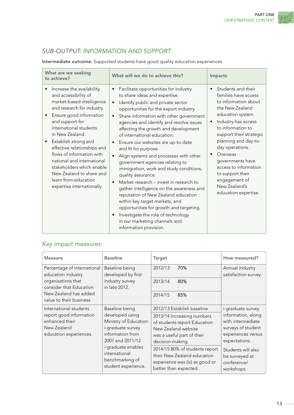# <span id="page-14-0"></span>*SUB-OUTPUT: INFORMATION AND SUPPORT*

Intermediate outcome: Supported students have good quality education experiences.

| What are we seeking<br>to achieve?                                                                                                                                                                                                                                                                                                                                                                                                       | What will we do to achieve this?                                                                                                                                                                                                                                                                                                                                                                                                                                                                                                                                                                                                                                                                                                                                                                                                                                                    | Impacts                                                                                                                                                                                                                                                                                                                                                                                                    |
|------------------------------------------------------------------------------------------------------------------------------------------------------------------------------------------------------------------------------------------------------------------------------------------------------------------------------------------------------------------------------------------------------------------------------------------|-------------------------------------------------------------------------------------------------------------------------------------------------------------------------------------------------------------------------------------------------------------------------------------------------------------------------------------------------------------------------------------------------------------------------------------------------------------------------------------------------------------------------------------------------------------------------------------------------------------------------------------------------------------------------------------------------------------------------------------------------------------------------------------------------------------------------------------------------------------------------------------|------------------------------------------------------------------------------------------------------------------------------------------------------------------------------------------------------------------------------------------------------------------------------------------------------------------------------------------------------------------------------------------------------------|
| Increase the availability<br>and accessibility of<br>market-based intelligence<br>and research for industry.<br>Ensure good information<br>and support for<br>international students<br>in New Zealand.<br>Establish strong and<br>effective relationships and<br>flows of information with<br>national and international<br>stakeholders which enable<br>New Zealand to share and<br>learn from education<br>expertise internationally. | Facilitate opportunities for industry<br>to share ideas and expertise.<br>Identify public and private sector<br>opportunities for the export industry.<br>Share information with other government<br>$\bullet$<br>agencies and identify and resolve issues<br>affecting the growth and development<br>of international education.<br>Ensure our websites are up-to-date<br>and fit for purpose.<br>Align systems and processes with other<br>government agencies relating to<br>immigration, work and study conditions,<br>quality assurance.<br>Market research – invest in research to<br>$\bullet$<br>gather intelligence on the awareness and<br>reputation of New Zealand education<br>within key target markets, and<br>opportunities for growth and targeting.<br>Investigate the role of technology<br>$\bullet$<br>in our marketing channels and<br>information provision. | Students and their<br>$\bullet$<br>families have access<br>to information about<br>the New Zealand<br>education system.<br>Industry has access<br>$\bullet$<br>to information to<br>support their strategic<br>planning and day-to-<br>day operations.<br>Overseas<br>$\bullet$<br>governments have<br>access to information<br>to support their<br>engagement of<br>New Zealand's<br>education expertise. |

# *Key impact measures:*

| <b>Measure</b>                                                                                               | <b>Baseline</b>                                                                                                                                                                                           | <b>Target</b>                                                                                                                                                                                                                                                                                 | How measured?                                                                                                                                                                                  |
|--------------------------------------------------------------------------------------------------------------|-----------------------------------------------------------------------------------------------------------------------------------------------------------------------------------------------------------|-----------------------------------------------------------------------------------------------------------------------------------------------------------------------------------------------------------------------------------------------------------------------------------------------|------------------------------------------------------------------------------------------------------------------------------------------------------------------------------------------------|
| Percentage of international<br>education industry                                                            | Baseline being<br>developed by first                                                                                                                                                                      | 2012/13<br>70%                                                                                                                                                                                                                                                                                | Annual industry<br>satisfaction survey.                                                                                                                                                        |
| organisations that<br>consider that Education                                                                | industry survey<br>in late 2012.                                                                                                                                                                          | 2013/14<br>80%                                                                                                                                                                                                                                                                                |                                                                                                                                                                                                |
| New Zealand has added<br>value to their business.                                                            |                                                                                                                                                                                                           | 2014/15<br>85%                                                                                                                                                                                                                                                                                |                                                                                                                                                                                                |
| International students<br>report good information<br>enhanced their<br>New Zealand<br>education experiences. | Baseline being<br>developed using<br>Ministry of Education<br>i-graduate survey<br>information from<br>2007 and 2011/12.<br>i-graduate enables<br>international<br>benchmarking of<br>student experience. | 2012/13 Establish baseline<br>2013/14 Increasing numbers<br>of students report Education<br>New Zealand website<br>was a useful part of their<br>decision-making.<br>2014/15 80% of students report<br>their New Zealand education<br>experience was (is) as good or<br>better than expected. | i-graduate survey<br>information, along<br>with intermediate<br>surveys of student<br>experiences versus<br>expectations.<br>Students will also<br>be surveyed at<br>conference/<br>workshops. |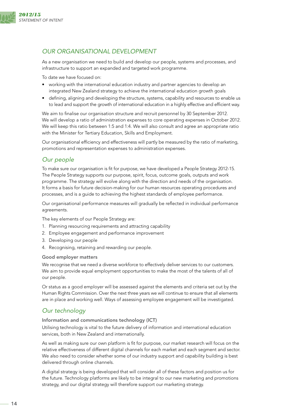<span id="page-15-0"></span>

## *OUR ORGANISATIONAL DEVELOPMENT*

As a new organisation we need to build and develop our people, systems and processes, and infrastructure to support an expanded and targeted work programme.

To date we have focused on:

- working with the international education industry and partner agencies to develop an integrated New Zealand strategy to achieve the international education growth goals
- defining, aligning and developing the structure, systems, capability and resources to enable us to lead and support the growth of international education in a highly effective and efficient way.

We aim to finalise our organisation structure and recruit personnel by 30 September 2012. We will develop a ratio of administration expenses to core operating expenses in October 2012. We will keep this ratio between 1:5 and 1:4. We will also consult and agree an appropriate ratio with the Minister for Tertiary Education, Skills and Employment.

Our organisational efficiency and effectiveness will partly be measured by the ratio of marketing, promotions and representation expenses to administration expenses.

### *Our people*

To make sure our organisation is fit for purpose, we have developed a People Strategy 2012-15. The People Strategy supports our purpose, spirit, focus, outcome goals, outputs and work programme. The strategy will evolve along with the direction and needs of the organisation. It forms a basis for future decision-making for our human resources operating procedures and processes, and is a guide to achieving the highest standards of employee performance.

Our organisational performance measures will gradually be reflected in individual performance agreements.

The key elements of our People Strategy are:

- 1. Planning resourcing requirements and attracting capability
- 2. Employee engagement and performance improvement
- 3. Developing our people
- 4. Recognising, retaining and rewarding our people.

#### Good employer matters

We recognise that we need a diverse workforce to effectively deliver services to our customers. We aim to provide equal employment opportunities to make the most of the talents of all of our people.

Or status as a good employer will be assessed against the elements and criteria set out by the Human Rights Commission. Over the next three years we will continue to ensure that all elements are in place and working well. Ways of assessing employee engagement will be investigated.

# *Our technology*

Information and communications technology (ICT)

Utilising technology is vital to the future delivery of information and international education services, both in New Zealand and internationally.

As well as making sure our own platform is fit for purpose, our market research will focus on the relative effectiveness of different digital channels for each market and each segment and sector. We also need to consider whether some of our industry support and capability building is best delivered through online channels.

A digital strategy is being developed that will consider all of these factors and position us for the future. Technology platforms are likely to be integral to our new marketing and promotions strategy, and our digital strategy will therefore support our marketing strategy.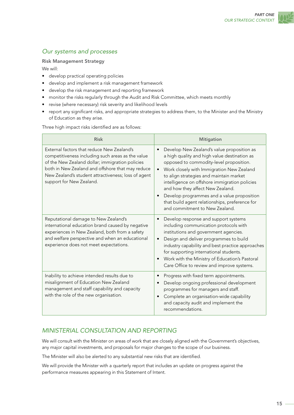# <span id="page-16-0"></span>*Our systems and processes*

#### Risk Management Strategy

We will:

- • develop practical operating policies
- develop and implement a risk management framework
- • develop the risk management and reporting framework
- monitor the risks regularly through the Audit and Risk Committee, which meets monthly
- revise (where necessary) risk severity and likelihood levels
- report any significant risks, and appropriate strategies to address them, to the Minister and the Ministry of Education as they arise.

Three high impact risks identified are as follows:

| <b>Risk</b>                                                                                                                                                                                                                                                                               | <b>Mitigation</b>                                                                                                                                                                                                                                                                                                                                                                                                                                                                           |
|-------------------------------------------------------------------------------------------------------------------------------------------------------------------------------------------------------------------------------------------------------------------------------------------|---------------------------------------------------------------------------------------------------------------------------------------------------------------------------------------------------------------------------------------------------------------------------------------------------------------------------------------------------------------------------------------------------------------------------------------------------------------------------------------------|
| External factors that reduce New Zealand's<br>competitiveness including such areas as the value<br>of the New Zealand dollar; immigration policies<br>both in New Zealand and offshore that may reduce<br>New Zealand's student attractiveness; loss of agent<br>support for New Zealand. | Develop New Zealand's value proposition as<br>$\bullet$<br>a high quality and high value destination as<br>opposed to commodity-level proposition.<br>Work closely with Immigration New Zealand<br>$\bullet$<br>to align strategies and maintain market<br>intelligence on offshore immigration policies<br>and how they affect New Zealand.<br>Develop programmes and a value proposition<br>$\bullet$<br>that build agent relationships, preference for<br>and commitment to New Zealand. |
| Reputational damage to New Zealand's<br>international education brand caused by negative<br>experiences in New Zealand, both from a safety<br>and welfare perspective and when an educational<br>experience does not meet expectations.                                                   | Develop response and support systems<br>$\bullet$<br>including communication protocols with<br>institutions and government agencies.<br>Design and deliver programmes to build<br>$\bullet$<br>industry capability and best practice approaches<br>for supporting international students.<br>Work with the Ministry of Education's Pastoral<br>$\bullet$<br>Care Office to review and improve systems.                                                                                      |
| Inability to achieve intended results due to<br>misalignment of Education New Zealand<br>management and staff capability and capacity<br>with the role of the new organisation.                                                                                                           | Progress with fixed term appointments.<br>$\bullet$<br>Develop ongoing professional development<br>$\bullet$<br>programmes for managers and staff.<br>Complete an organisation-wide capability<br>$\bullet$<br>and capacity audit and implement the<br>recommendations.                                                                                                                                                                                                                     |

# *MINISTERIAL CONSULTATION AND REPORTING*

We will consult with the Minister on areas of work that are closely aligned with the Government's objectives, any major capital investments, and proposals for major changes to the scope of our business.

The Minister will also be alerted to any substantial new risks that are identified.

We will provide the Minister with a quarterly report that includes an update on progress against the performance measures appearing in this Statement of Intent.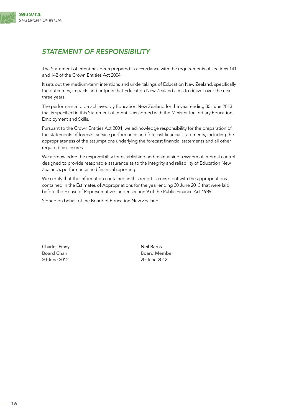<span id="page-17-0"></span>

# *STATEMENT OF RESPONSIBILITY*

The Statement of Intent has been prepared in accordance with the requirements of sections 141 and 142 of the Crown Entities Act 2004.

It sets out the medium-term intentions and undertakings of Education New Zealand, specifically the outcomes, impacts and outputs that Education New Zealand aims to deliver over the next three years.

The performance to be achieved by Education New Zealand for the year ending 30 June 2013 that is specified in this Statement of Intent is as agreed with the Minister for Tertiary Education, Employment and Skills.

Pursuant to the Crown Entities Act 2004, we acknowledge responsibility for the preparation of the statements of forecast service performance and forecast financial statements, including the appropriateness of the assumptions underlying the forecast financial statements and all other required disclosures.

We acknowledge the responsibility for establishing and maintaining a system of internal control designed to provide reasonable assurance as to the integrity and reliability of Education New Zealand's performance and financial reporting.

We certify that the information contained in this report is consistent with the appropriations contained in the Estimates of Appropriations for the year ending 30 June 2013 that were laid before the House of Representatives under section 9 of the Public Finance Act 1989.

Signed on behalf of the Board of Education New Zealand.

Charles Finny **Neil Barns** 20 June 2012 20 June 2012

Board Chair **Board Member**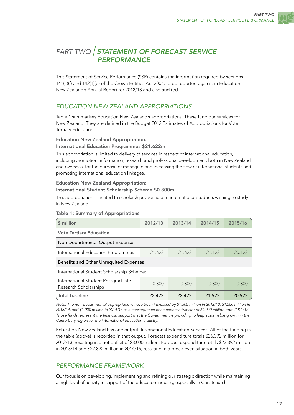

# <span id="page-18-0"></span>*PART TWO STATEMENT OF FORECAST SERVICE PERFORMANCE*

This Statement of Service Performance (SSP) contains the information required by sections 141(1)(f) and 142(1)(b) of the Crown Entities Act 2004, to be reported against in Education New Zealand's Annual Report for 2012/13 and also audited.

# *EDUCATION NEW ZEALAND APPROPRIATIONS*

Table 1 summarises Education New Zealand's appropriations. These fund our services for New Zealand. They are defined in the Budget 2012 Estimates of Appropriations for Vote Tertiary Education.

Education New Zealand Appropriation:

#### International Education Programmes \$21.622m

This appropriation is limited to delivery of services in respect of international education, including promotion, information, research and professional development, both in New Zealand and overseas, for the purpose of managing and increasing the flow of international students and promoting international education linkages.

#### Education New Zealand Appropriation:

International Student Scholarship Scheme \$0.800m

This appropriation is limited to scholarships available to international students wishing to study in New Zealand.

| \$ million                                                  | 2012/13 | 2013/14 | 2014/15 | 2015/16 |  |
|-------------------------------------------------------------|---------|---------|---------|---------|--|
| <b>Vote Tertiary Education</b>                              |         |         |         |         |  |
| Non-Departmental Output Expense                             |         |         |         |         |  |
| International Education Programmes                          | 21.622  | 21.622  | 21.122  | 20.122  |  |
| Benefits and Other Unrequited Expenses                      |         |         |         |         |  |
| International Student Scholarship Scheme:                   |         |         |         |         |  |
| International Student Postgraduate<br>Research Scholarships | 0.800   | 0.800   | 0.800   | 0.800   |  |
| <b>Total baseline</b>                                       | 22.422  | 22.422  | 21.922  | 20.922  |  |

#### Table 1: Summary of Appropriations

*Note:* The non-departmental appropriations have been increased by \$1.500 million in 2012/13, \$1.500 million in *2013/14, and \$1.000 million in 2014/15 as a consequence of an expense transfer of \$4.000 million from 2011/12. Those funds represent the financial support that the Government is providing to help sustainable growth in the Canterbury region for the international education industry.* 

Education New Zealand has one output: International Education Services. All of the funding in the table (above) is recorded in that output. Forecast expenditure totals \$26.392 million for 2012/13, resulting in a net deficit of \$3.000 million. Forecast expenditure totals \$23.392 million in 2013/14 and \$22.892 million in 2014/15, resulting in a break-even situation in both years.

# *PERFORMANCE FRAMEWORK*

Our focus is on developing, implementing and refining our strategic direction while maintaining a high level of activity in support of the education industry, especially in Christchurch.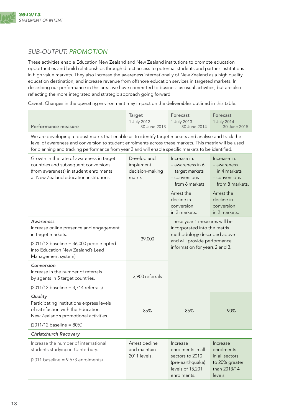<span id="page-19-0"></span>

# *SUB-OUTPUT: PROMOTION*

These activities enable Education New Zealand and New Zealand institutions to promote education opportunities and build relationships through direct access to potential students and partner institutions in high value markets. They also increase the awareness internationally of New Zealand as a high quality education destination, and increase revenue from offshore education services in targeted markets. In describing our performance in this area, we have committed to business as usual activities, but are also reflecting the more integrated and strategic approach going forward.

Caveat: Changes in the operating environment may impact on the deliverables outlined in this table.

| <b>Performance measure</b>                                                                                                                                                                                                                                                                                              | <b>Target</b><br>1 July 2012 -<br>30 June 2013        | Forecast<br>1 July 2013 -<br>30 June 2014                                                                                                                      | Forecast<br>1 July 2014 -<br>30 June 2015                                                                                                    |  |
|-------------------------------------------------------------------------------------------------------------------------------------------------------------------------------------------------------------------------------------------------------------------------------------------------------------------------|-------------------------------------------------------|----------------------------------------------------------------------------------------------------------------------------------------------------------------|----------------------------------------------------------------------------------------------------------------------------------------------|--|
| We are developing a robust matrix that enable us to identify target markets and analyse and track the<br>level of awareness and conversion to student enrolments across these markets. This matrix will be used<br>for planning and tracking performance from year 2 and will enable specific markets to be identified. |                                                       |                                                                                                                                                                |                                                                                                                                              |  |
| Growth in the rate of awareness in target<br>countries and subsequent conversions<br>(from awareness) in student enrolments<br>at New Zealand education institutions.                                                                                                                                                   | Develop and<br>implement<br>decision-making<br>matrix | Increase in:<br>$-$ awareness in 6<br>target markets<br>$-$ conversions<br>from 6 markets.<br>Arrest the<br>decline in<br>conversion<br>in 2 markets.          | Increase in:<br>- awareness<br>in 4 markets<br>$-$ conversions<br>from 8 markets.<br>Arrest the<br>decline in<br>conversion<br>in 2 markets. |  |
| Awareness<br>Increase online presence and engagement<br>in target markets.<br>$(2011/12 \text{ baseline} = 36,000 \text{ people opted}$<br>into Education New Zealand's Lead<br>Management system)                                                                                                                      | 39,000                                                | These year 1 measures will be<br>incorporated into the matrix<br>methodology described above<br>and will provide performance<br>information for years 2 and 3. |                                                                                                                                              |  |
| Conversion<br>Increase in the number of referrals<br>by agents in 5 target countries.<br>$(2011/12 \text{ baseline} = 3,714 \text{ referrals})$                                                                                                                                                                         | 3,900 referrals                                       |                                                                                                                                                                |                                                                                                                                              |  |
| Quality<br>Participating institutions express levels<br>of satisfaction with the Education<br>New Zealand's promotional activities.<br>(2011/12 baseline = 80%)                                                                                                                                                         | 85%                                                   | 85%                                                                                                                                                            | 90%                                                                                                                                          |  |
| <b>Christchurch Recovery</b>                                                                                                                                                                                                                                                                                            |                                                       |                                                                                                                                                                |                                                                                                                                              |  |
| Increase the number of international<br>students studying in Canterbury.<br>$(2011 \text{ baseline} = 9,573 \text{ enrich})$                                                                                                                                                                                            | Arrest decline<br>and maintain<br>2011 levels.        | Increase<br>enrolments in all<br>sectors to 2010<br>(pre-earthquake)<br>levels of 15,201<br>enrolments.                                                        | Increase<br>enrolments<br>in all sectors<br>to 20% greater<br>than 2013/14<br>levels.                                                        |  |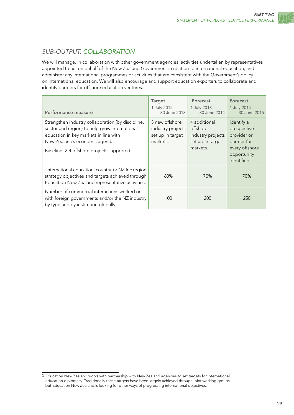

# <span id="page-20-0"></span>*SUB-OUTPUT: COLLABORATION*

We will manage, in collaboration with other government agencies, activities undertaken by representatives appointed to act on behalf of the New Zealand Government in relation to international education, and administer any international programmes or activities that are consistent with the Government's policy on international education. We will also encourage and support education exporters to collaborate and identify partners for offshore education ventures.

| Performance measure                                                                                                                                                                                                         | Target<br>1 July 2012<br>-30 June 2013                              | Forecast<br>1 July 2013<br>- 30 June 2014                                     | Forecast<br>1 July 2014<br>- 30 June 2015                                                               |
|-----------------------------------------------------------------------------------------------------------------------------------------------------------------------------------------------------------------------------|---------------------------------------------------------------------|-------------------------------------------------------------------------------|---------------------------------------------------------------------------------------------------------|
| Strengthen industry collaboration (by discipline,<br>sector and region) to help grow international<br>education in key markets in line with<br>New Zealand's economic agenda.<br>Baseline: 2-4 offshore projects supported. | 3 new offshore<br>industry projects<br>set up in target<br>markets. | 4 additional<br>offshore<br>industry projects<br>set up in target<br>markets. | Identify a<br>prospective<br>provider or<br>partner for<br>every offshore<br>opportunity<br>identified. |
| <sup>3</sup> International education, country, or NZ Inc region<br>strategy objectives and targets achieved through<br>Education New Zealand representative activities.                                                     | 60%                                                                 | 70%                                                                           | 70%                                                                                                     |
| Number of commercial interactions worked on<br>with foreign governments and/or the NZ industry<br>by type and by institution globally.                                                                                      | 100                                                                 | 200                                                                           | 250                                                                                                     |

<sup>3</sup> Education New Zealand works with partnership with New Zealand agencies to set targets for international education diplomacy. Traditionally these targets have been largely achieved through joint working groups but Education New Zealand is looking for other ways of progressing international objectives.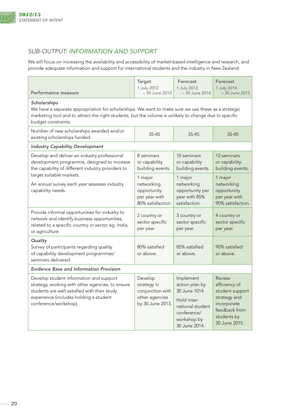<span id="page-21-0"></span>

# *SUB-OUTPUT: INFORMATION AND SUPPORT*

We will focus on increasing the availability and accessibility of market-based intelligence and research, and provide adequate information and support for international students and the industry in New Zealand.

| Performance measure                                                                                                                                                                                                                                  | <b>Target</b><br>1 July 2012<br>-30 June 2013                                    | Forecast<br>1 July 2013<br>- 30 June 2014                                                                                     | <b>Forecast</b><br>1 July 2014<br>-30 June 2015                                                                            |  |  |
|------------------------------------------------------------------------------------------------------------------------------------------------------------------------------------------------------------------------------------------------------|----------------------------------------------------------------------------------|-------------------------------------------------------------------------------------------------------------------------------|----------------------------------------------------------------------------------------------------------------------------|--|--|
| Scholarships<br>We have a separate appropriation for scholarships. We want to make sure we use these as a strategic<br>marketing tool and to attract the right students, but the volume is unlikely to change due to specific<br>budget constraints. |                                                                                  |                                                                                                                               |                                                                                                                            |  |  |
| Number of new scholarships awarded and/or<br>$35 - 45$<br>$35 - 45$<br>$35 - 45$<br>existing scholarships funded.                                                                                                                                    |                                                                                  |                                                                                                                               |                                                                                                                            |  |  |
| <b>Industry Capability Development</b>                                                                                                                                                                                                               |                                                                                  |                                                                                                                               |                                                                                                                            |  |  |
| Develop and deliver an industry professional<br>development programme, designed to increase<br>the capability of different industry providers to                                                                                                     | 8 seminars<br>or capability<br>building events.                                  | 10 seminars<br>or capability<br>building events.                                                                              | 12 seminars<br>or capability<br>building events.                                                                           |  |  |
| target suitable markets.<br>An annual survey each year assesses industry<br>capability needs.                                                                                                                                                        | 1 major<br>networking<br>opportunity<br>per year with<br>80% satisfaction.       | 1 major<br>networking<br>opportunity per<br>year with 85%<br>satisfaction.                                                    | 1 major<br>networking<br>opportunity<br>per year with<br>90% satisfaction.                                                 |  |  |
| Provide informal opportunities for industry to<br>network and identify business opportunities,<br>related to a specific country or sector eg. India,<br>or agriculture.                                                                              | 2 country or<br>sector specific<br>per year.                                     | 3 country or<br>sector specific<br>per year.                                                                                  | 4 country or<br>sector specific<br>per year.                                                                               |  |  |
| Quality<br>Survey of participants regarding quality<br>of capability development programmes/<br>seminars delivered.                                                                                                                                  | 80% satisfied<br>or above.                                                       | 85% satisfied<br>or above.                                                                                                    | 90% satisfied<br>or above.                                                                                                 |  |  |
| <b>Evidence Base and Information Provision</b>                                                                                                                                                                                                       |                                                                                  |                                                                                                                               |                                                                                                                            |  |  |
| Develop student information and support<br>strategy, working with other agencies, to ensure<br>students are well satisfied with their study<br>experience (includes holding a student<br>conference/workshop).                                       | Develop<br>strategy in<br>conjunction with<br>other agencies<br>by 30 June 2013. | Implement<br>action plan by<br>30 June 1014<br>Hold inter-<br>national student<br>conference/<br>workshop by<br>30 June 2014. | Review<br>efficiency of<br>student support<br>strategy and<br>incorporate<br>feedback from<br>students by<br>30 June 2015. |  |  |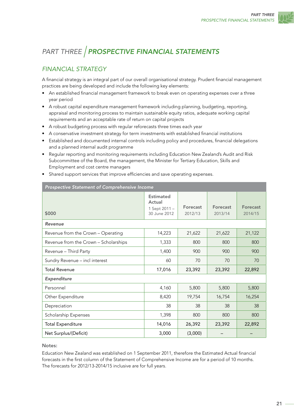# <span id="page-22-0"></span>*PART THREE PROSPECTIVE FINANCIAL STATEMENTS*

# *FINANCIAL STRATEGY*

A financial strategy is an integral part of our overall organisational strategy. Prudent financial management practices are being developed and include the following key elements:

- An established financial management framework to break even on operating expenses over a three year period
- • A robust capital expenditure management framework including planning, budgeting, reporting, appraisal and monitoring process to maintain sustainable equity ratios, adequate working capital requirements and an acceptable rate of return on capital projects
- A robust budgeting process with regular reforecasts three times each year
- A conservative investment strategy for term investments with established financial institutions
- • Established and documented internal controls including policy and procedures, financial delegations and a planned internal audit programme
- • Regular reporting and monitoring requirements including Education New Zealand's Audit and Risk Subcommittee of the Board, the management, the Minister for Tertiary Education, Skills and Employment and cost centre managers

|  | • Shared support services that improve efficiencies and save operating expenses. |  |  |  |  |  |  |
|--|----------------------------------------------------------------------------------|--|--|--|--|--|--|
|--|----------------------------------------------------------------------------------|--|--|--|--|--|--|

| Prospective Statement of Comprehensive Income |                                                             |                     |                            |                            |
|-----------------------------------------------|-------------------------------------------------------------|---------------------|----------------------------|----------------------------|
| \$000                                         | <b>Estimated</b><br>Actual<br>1 Sept 2011 -<br>30 June 2012 | Forecast<br>2012/13 | <b>Forecast</b><br>2013/14 | <b>Forecast</b><br>2014/15 |
| Revenue                                       |                                                             |                     |                            |                            |
| Revenue from the Crown - Operating            | 14,223                                                      | 21,622              | 21,622                     | 21,122                     |
| Revenue from the Crown - Scholarships         | 1,333                                                       | 800                 | 800                        | 800                        |
| Revenue - Third Party                         | 1,400                                                       | 900                 | 900                        | 900                        |
| Sundry Revenue - incl interest                | 60                                                          | 70                  | 70                         | 70                         |
| <b>Total Revenue</b>                          | 17,016                                                      | 23,392              | 23,392                     | 22,892                     |
| Expenditure                                   |                                                             |                     |                            |                            |
| Personnel                                     | 4,160                                                       | 5,800               | 5,800                      | 5,800                      |
| Other Expenditure                             | 8,420                                                       | 19,754              | 16,754                     | 16,254                     |
| Depreciation                                  | 38                                                          | 38                  | 38                         | 38                         |
| Scholarship Expenses                          | 1,398                                                       | 800                 | 800                        | 800                        |
| <b>Total Expenditure</b>                      | 14,016                                                      | 26,392              | 23,392                     | 22,892                     |
| Net Surplus/(Deficit)                         | 3,000                                                       | (3,000)             |                            |                            |

Notes:

Education New Zealand was established on 1 September 2011, therefore the Estimated Actual financial forecasts in the first column of the Statement of Comprehensive Income are for a period of 10 months. The forecasts for 2012/13-2014/15 inclusive are for full years.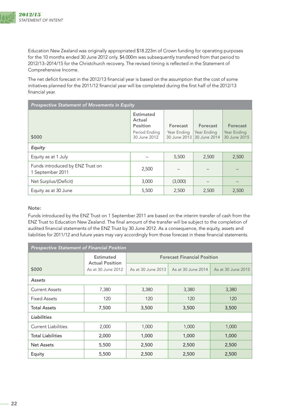

Education New Zealand was originally appropriated \$18.223m of Crown funding for operating purposes for the 10 months ended 30 June 2012 only. \$4.000m was subsequently transferred from that period to 2012/13–2014/15 for the Christchurch recovery. The revised timing is reflected in the Statement of Comprehensive Income.

The net deficit forecast in the 2012/13 financial year is based on the assumption that the cost of some initiatives planned for the 2011/12 financial year will be completed during the first half of the 2012/13 financial year.

| <b>Prospective Statement of Movements in Equity</b>  |                                        |                             |                             |                             |
|------------------------------------------------------|----------------------------------------|-----------------------------|-----------------------------|-----------------------------|
|                                                      | <b>Estimated</b><br>Actual<br>Position | Forecast                    | Forecast                    | Forecast                    |
| \$000                                                | Period Ending<br>30 June 2012          | Year Ending<br>30 June 2013 | Year Ending<br>30 June 2014 | Year Ending<br>30 June 2015 |
| <b>Equity</b>                                        |                                        |                             |                             |                             |
| Equity as at 1 July                                  |                                        | 5,500                       | 2,500                       | 2,500                       |
| Funds introduced by ENZ Trust on<br>1 September 2011 | 2,500                                  |                             |                             |                             |
| Net Surplus/(Deficit)                                | 3,000                                  | (3,000)                     |                             |                             |
| Equity as at 30 June                                 | 5,500                                  | 2,500                       | 2,500                       | 2,500                       |

Note:

Funds introduced by the ENZ Trust on 1 September 2011 are based on the interim transfer of cash from the ENZ Trust to Education New Zealand. The final amount of the transfer will be subject to the completion of audited financial statements of the ENZ Trust by 30 June 2012. As a consequence, the equity, assets and liabilities for 2011/12 and future years may vary accordingly from those forecast in these financial statements.

| <b>Prospective Statement of Financial Position</b> |                                            |                    |                                    |                    |  |
|----------------------------------------------------|--------------------------------------------|--------------------|------------------------------------|--------------------|--|
|                                                    | <b>Estimated</b><br><b>Actual Position</b> |                    | <b>Forecast Financial Position</b> |                    |  |
| \$000                                              | As at 30 June 2012                         | As at 30 June 2013 | As at 30 June 2014                 | As at 30 June 2015 |  |
| <b>Assets</b>                                      |                                            |                    |                                    |                    |  |
| <b>Current Assets</b>                              | 7,380                                      | 3,380              | 3,380                              | 3,380              |  |
| Fixed Assets                                       | 120                                        | 120                | 120                                | 120                |  |
| <b>Total Assets</b>                                | 7,500                                      | 3,500              | 3,500                              | 3,500              |  |
| <b>Liabilities</b>                                 |                                            |                    |                                    |                    |  |
| <b>Current Liabilities</b>                         | 2,000                                      | 1,000              | 1,000                              | 1,000              |  |
| <b>Total Liabilities</b>                           | 2,000                                      | 1,000              | 1,000                              | 1,000              |  |
| <b>Net Assets</b>                                  | 5,500                                      | 2,500              | 2,500                              | 2,500              |  |
| Equity                                             | 5,500                                      | 2,500              | 2,500                              | 2,500              |  |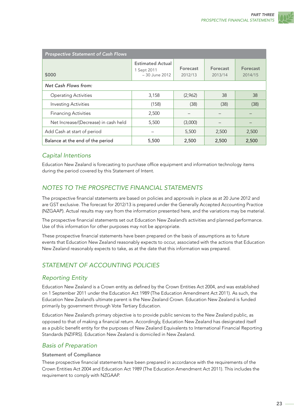<span id="page-24-0"></span>

| <b>Prospective Statement of Cash Flows</b> |                                                           |                     |                            |                            |  |
|--------------------------------------------|-----------------------------------------------------------|---------------------|----------------------------|----------------------------|--|
| \$000                                      | <b>Estimated Actual</b><br>1 Sept 2011<br>$-30$ June 2012 | Forecast<br>2012/13 | <b>Forecast</b><br>2013/14 | <b>Forecast</b><br>2014/15 |  |
| <b>Net Cash Flows from:</b>                |                                                           |                     |                            |                            |  |
| <b>Operating Activities</b>                | 3,158                                                     | (2,962)             | 38                         | 38                         |  |
| <b>Investing Activities</b>                | (158)                                                     | (38)                | (38)                       | (38)                       |  |
| <b>Financing Activities</b>                | 2,500                                                     |                     |                            |                            |  |
| Net Increase/(Decrease) in cash held       | 5,500                                                     | (3,000)             |                            |                            |  |
| Add Cash at start of period                |                                                           | 5,500               | 2,500                      | 2,500                      |  |
| Balance at the end of the period           | 5,500                                                     | 2,500               | 2,500                      | 2,500                      |  |

# *Capital Intentions*

Education New Zealand is forecasting to purchase office equipment and information technology items during the period covered by this Statement of Intent.

# *NOTES TO THE PROSPECTIVE FINANCIAL STATEMENTS*

The prospective financial statements are based on policies and approvals in place as at 20 June 2012 and are GST exclusive. The forecast for 2012/13 is prepared under the Generally Accepted Accounting Practice (NZGAAP). Actual results may vary from the information presented here, and the variations may be material.

The prospective financial statements set out Education New Zealand's activities and planned performance. Use of this information for other purposes may not be appropriate.

These prospective financial statements have been prepared on the basis of assumptions as to future events that Education New Zealand reasonably expects to occur, associated with the actions that Education New Zealand reasonably expects to take, as at the date that this information was prepared.

# *STATEMENT OF ACCOUNTING POLICIES*

# *Reporting Entity*

Education New Zealand is a Crown entity as defined by the Crown Entities Act 2004, and was established on 1 September 2011 under the Education Act 1989 (The Education Amendment Act 2011). As such, the Education New Zealand's ultimate parent is the New Zealand Crown. Education New Zealand is funded primarily by government through Vote Tertiary Education.

Education New Zealand's primary objective is to provide public services to the New Zealand public, as opposed to that of making a financial return. Accordingly, Education New Zealand has designated itself as a public benefit entity for the purposes of New Zealand Equivalents to International Financial Reporting Standards (NZIFRS). Education New Zealand is domiciled in New Zealand.

# *Basis of Preparation*

#### Statement of Compliance

These prospective financial statements have been prepared in accordance with the requirements of the Crown Entities Act 2004 and Education Act 1989 (The Education Amendment Act 2011). This includes the requirement to comply with NZGAAP.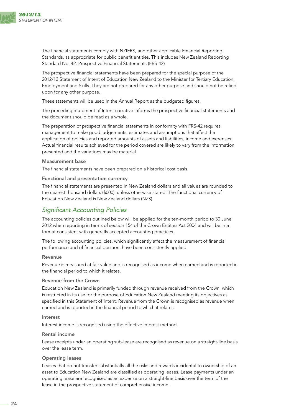

The financial statements comply with NZIFRS, and other applicable Financial Reporting Standards, as appropriate for public benefit entities. This includes New Zealand Reporting Standard No. 42: Prospective Financial Statements (FRS-42)

The prospective financial statements have been prepared for the special purpose of the 2012/13 Statement of Intent of Education New Zealand to the Minister for Tertiary Education, Employment and Skills. They are not prepared for any other purpose and should not be relied upon for any other purpose.

These statements will be used in the Annual Report as the budgeted figures.

The preceding Statement of Intent narrative informs the prospective financial statements and the document should be read as a whole.

The preparation of prospective financial statements in conformity with FRS-42 requires management to make good judgements, estimates and assumptions that affect the application of policies and reported amounts of assets and liabilities, income and expenses. Actual financial results achieved for the period covered are likely to vary from the information presented and the variations may be material.

#### Measurement base

The financial statements have been prepared on a historical cost basis.

#### Functional and presentation currency

The financial statements are presented in New Zealand dollars and all values are rounded to the nearest thousand dollars (\$000), unless otherwise stated. The functional currency of Education New Zealand is New Zealand dollars (NZ\$).

### *Significant Accounting Policies*

The accounting policies outlined below will be applied for the ten-month period to 30 June 2012 when reporting in terms of section 154 of the Crown Entities Act 2004 and will be in a format consistent with generally accepted accounting practices.

The following accounting policies, which significantly affect the measurement of financial performance and of financial position, have been consistently applied.

#### Revenue

Revenue is measured at fair value and is recognised as income when earned and is reported in the financial period to which it relates.

#### Revenue from the Crown

Education New Zealand is primarily funded through revenue received from the Crown, which is restricted in its use for the purpose of Education New Zealand meeting its objectives as specified in this Statement of Intent. Revenue from the Crown is recognised as revenue when earned and is reported in the financial period to which it relates.

#### **Interest**

Interest income is recognised using the effective interest method.

#### Rental income

Lease receipts under an operating sub-lease are recognised as revenue on a straight-line basis over the lease term.

#### Operating leases

Leases that do not transfer substantially all the risks and rewards incidental to ownership of an asset to Education New Zealand are classified as operating leases. Lease payments under an operating lease are recognised as an expense on a straight-line basis over the term of the lease in the prospective statement of comprehensive income.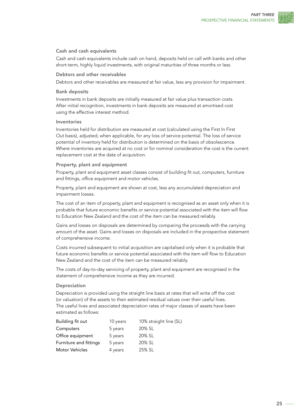#### Cash and cash equivalents

Cash and cash equivalents include cash on hand, deposits held on call with banks and other short-term, highly liquid investments, with original maturities of three months or less.

#### Debtors and other receivables

Debtors and other receivables are measured at fair value, less any provision for impairment.

#### Bank deposits

Investments in bank deposits are initially measured at fair value plus transaction costs. After initial recognition, investments in bank deposits are measured at amortised cost using the effective interest method.

#### Inventories

Inventories held for distribution are measured at cost (calculated using the First In First Out basis), adjusted, when applicable, for any loss of service potential. The loss of service potential of inventory held for distribution is determined on the basis of obsolescence. Where inventories are acquired at no cost or for nominal consideration the cost is the current replacement cost at the date of acquisition.

#### Property, plant and equipment

Property, plant and equipment asset classes consist of building fit out, computers, furniture and fittings, office equipment and motor vehicles.

Property, plant and equipment are shown at cost, less any accumulated depreciation and impairment losses.

The cost of an item of property, plant and equipment is recognised as an asset only when it is probable that future economic benefits or service potential associated with the item will flow to Education New Zealand and the cost of the item can be measured reliably.

Gains and losses on disposals are determined by comparing the proceeds with the carrying amount of the asset. Gains and losses on disposals are included in the prospective statement of comprehensive income.

Costs incurred subsequent to initial acquisition are capitalised only when it is probable that future economic benefits or service potential associated with the item will flow to Education New Zealand and the cost of the item can be measured reliably.

The costs of day-to-day servicing of property, plant and equipment are recognised in the statement of comprehensive income as they are incurred.

#### Depreciation

Depreciation is provided using the straight line basis at rates that will write off the cost (or valuation) of the assets to their estimated residual values over their useful lives. The useful lives and associated depreciation rates of major classes of assets have been estimated as follows:

| Building fit out       | 10 years | 10% straight line (SL) |
|------------------------|----------|------------------------|
| Computers              | 5 years  | 20% SL                 |
| Office equipment       | 5 years  | 20% SL                 |
| Furniture and fittings | 5 years  | 20% SL                 |
| Motor Vehicles         | 4 years  | 25% SL                 |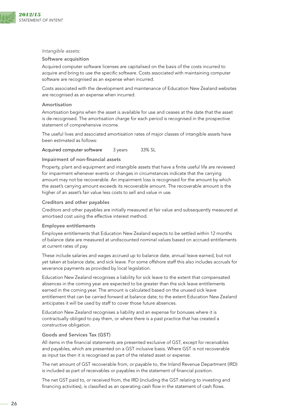

#### *Intangible assets:*

#### Software acquisition

Acquired computer software licenses are capitalised on the basis of the costs incurred to acquire and bring to use the specific software. Costs associated with maintaining computer software are recognised as an expense when incurred.

Costs associated with the development and maintenance of Education New Zealand websites are recognised as an expense when incurred.

#### Amortisation

Amortisation begins when the asset is available for use and ceases at the date that the asset is de-recognised. The amortisation charge for each period is recognised in the prospective statement of comprehensive income.

The useful lives and associated amortisation rates of major classes of intangible assets have been estimated as follows:

Acquired computer software 3 years 33% SL

#### Impairment of non-financial assets

Property, plant and equipment and intangible assets that have a finite useful life are reviewed for impairment whenever events or changes in circumstances indicate that the carrying amount may not be recoverable. An impairment loss is recognised for the amount by which the asset's carrying amount exceeds its recoverable amount. The recoverable amount is the higher of an asset's fair value less costs to sell and value in use.

#### Creditors and other payables

Creditors and other payables are initially measured at fair value and subsequently measured at amortised cost using the effective interest method.

#### Employee entitlements

Employee entitlements that Education New Zealand expects to be settled within 12 months of balance date are measured at undiscounted nominal values based on accrued entitlements at current rates of pay.

These include salaries and wages accrued up to balance date, annual leave earned, but not yet taken at balance date, and sick leave. For some offshore staff this also includes accruals for severance payments as provided by local legislation.

Education New Zealand recognises a liability for sick leave to the extent that compensated absences in the coming year are expected to be greater than the sick leave entitlements earned in the coming year. The amount is calculated based on the unused sick leave entitlement that can be carried forward at balance date; to the extent Education New Zealand anticipates it will be used by staff to cover those future absences.

Education New Zealand recognises a liability and an expense for bonuses where it is contractually obliged to pay them, or where there is a past practice that has created a constructive obligation.

#### Goods and Services Tax (GST)

All items in the financial statements are presented exclusive of GST, except for receivables and payables, which are presented on a GST inclusive basis. Where GST is not recoverable as input tax then it is recognised as part of the related asset or expense.

The net amount of GST recoverable from, or payable to, the Inland Revenue Department (IRD) is included as part of receivables or payables in the statement of financial position.

The net GST paid to, or received from, the IRD (including the GST relating to investing and financing activities), is classified as an operating cash flow in the statement of cash flows.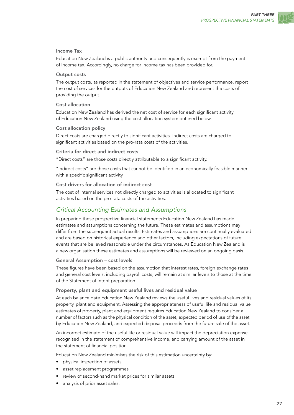#### Income Tax

Education New Zealand is a public authority and consequently is exempt from the payment of income tax. Accordingly, no charge for income tax has been provided for.

#### Output costs

The output costs, as reported in the statement of objectives and service performance, report the cost of services for the outputs of Education New Zealand and represent the costs of providing the output.

#### Cost allocation

Education New Zealand has derived the net cost of service for each significant activity of Education New Zealand using the cost allocation system outlined below.

#### Cost allocation policy

Direct costs are charged directly to significant activities. Indirect costs are charged to significant activities based on the pro-rata costs of the activities.

#### Criteria for direct and indirect costs

"Direct costs" are those costs directly attributable to a significant activity.

"Indirect costs" are those costs that cannot be identified in an economically feasible manner with a specific significant activity.

#### Cost drivers for allocation of indirect cost

The cost of internal services not directly charged to activities is allocated to significant activities based on the pro-rata costs of the activities.

# *Critical Accounting Estimates and Assumptions*

In preparing these prospective financial statements Education New Zealand has made estimates and assumptions concerning the future. These estimates and assumptions may differ from the subsequent actual results. Estimates and assumptions are continually evaluated and are based on historical experience and other factors, including expectations of future events that are believed reasonable under the circumstances. As Education New Zealand is a new organisation these estimates and assumptions will be reviewed on an ongoing basis.

#### General Assumption – cost levels

These figures have been based on the assumption that interest rates, foreign exchange rates and general cost levels, including payroll costs, will remain at similar levels to those at the time of the Statement of Intent preparation.

Property, plant and equipment useful lives and residual value

At each balance date Education New Zealand reviews the useful lives and residual values of its property, plant and equipment. Assessing the appropriateness of useful life and residual value estimates of property, plant and equipment requires Education New Zealand to consider a number of factors such as the physical condition of the asset, expected period of use of the asset by Education New Zealand, and expected disposal proceeds from the future sale of the asset.

An incorrect estimate of the useful life or residual value will impact the depreciation expense recognised in the statement of comprehensive income, and carrying amount of the asset in the statement of financial position.

Education New Zealand minimises the risk of this estimation uncertainty by:

- • physical inspection of assets
- asset replacement programmes
- review of second-hand market prices for similar assets
- analysis of prior asset sales.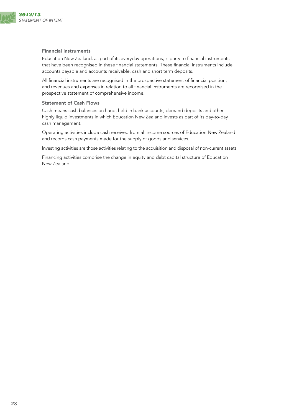

#### Financial instruments

Education New Zealand, as part of its everyday operations, is party to financial instruments that have been recognised in these financial statements. These financial instruments include accounts payable and accounts receivable, cash and short term deposits.

All financial instruments are recognised in the prospective statement of financial position, and revenues and expenses in relation to all financial instruments are recognised in the prospective statement of comprehensive income.

#### Statement of Cash Flows

Cash means cash balances on hand, held in bank accounts, demand deposits and other highly liquid investments in which Education New Zealand invests as part of its day-to-day cash management.

Operating activities include cash received from all income sources of Education New Zealand and records cash payments made for the supply of goods and services.

Investing activities are those activities relating to the acquisition and disposal of non-current assets.

Financing activities comprise the change in equity and debt capital structure of Education New Zealand.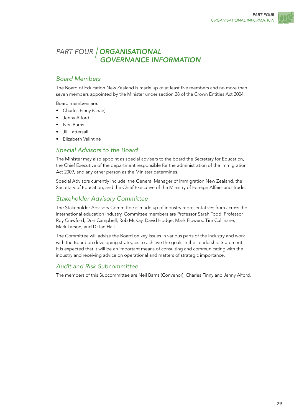

# <span id="page-30-0"></span>*PART FOUR ORGANISATIONAL GOVERNANCE INFORMATION*

# *Board Members*

The Board of Education New Zealand is made up of at least five members and no more than seven members appointed by the Minister under section 28 of the Crown Entities Act 2004.

Board members are:

- Charles Finny (Chair)
- Jenny Alford
- **Neil Barns**
- • Jill Tattersall
- • Elizabeth Valintine

# *Special Advisors to the Board*

The Minister may also appoint as special advisers to the board the Secretary for Education, the Chief Executive of the department responsible for the administration of the Immigration Act 2009, and any other person as the Minister determines.

Special Advisors currently include: the General Manager of Immigration New Zealand, the Secretary of Education, and the Chief Executive of the Ministry of Foreign Affairs and Trade.

# *Stakeholder Advisory Committee*

The Stakeholder Advisory Committee is made up of industry representatives from across the international education industry. Committee members are Professor Sarah Todd, Professor Roy Crawford, Don Campbell, Rob McKay, David Hodge, Mark Flowers, Tim Cullinane, Mark Larson, and Dr Ian Hall.

The Committee will advise the Board on key issues in various parts of the industry and work with the Board on developing strategies to achieve the goals in the Leadership Statement. It is expected that it will be an important means of consulting and communicating with the industry and receiving advice on operational and matters of strategic importance.

# *Audit and Risk Subcommittee*

The members of this Subcommittee are Neil Barns (Convenor), Charles Finny and Jenny Alford.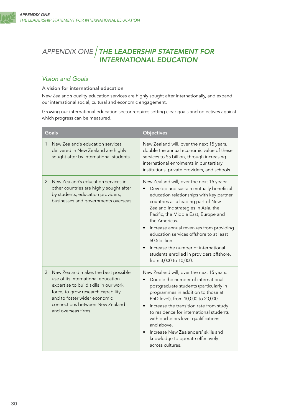# <span id="page-31-0"></span>*APPENDIX ONE THE LEADERSHIP STATEMENT FOR INTERNATIONAL EDUCATION*

# *Vision and Goals*

#### A vision for international education

New Zealand's quality education services are highly sought after internationally, and expand our international social, cultural and economic engagement.

Growing our international education sector requires setting clear goals and objectives against which progress can be measured.

| <b>Goals</b>                                                                                                                                                                                                                                          | <b>Objectives</b>                                                                                                                                                                                                                                                                                                                                                                                                                                                                                        |
|-------------------------------------------------------------------------------------------------------------------------------------------------------------------------------------------------------------------------------------------------------|----------------------------------------------------------------------------------------------------------------------------------------------------------------------------------------------------------------------------------------------------------------------------------------------------------------------------------------------------------------------------------------------------------------------------------------------------------------------------------------------------------|
| 1. New Zealand's education services<br>delivered in New Zealand are highly<br>sought after by international students.                                                                                                                                 | New Zealand will, over the next 15 years,<br>double the annual economic value of these<br>services to \$5 billion, through increasing<br>international enrolments in our tertiary<br>institutions, private providers, and schools.                                                                                                                                                                                                                                                                       |
| New Zealand's education services in<br>2.<br>other countries are highly sought after<br>by students, education providers,<br>businesses and governments overseas.                                                                                     | New Zealand will, over the next 15 years:<br>Develop and sustain mutually beneficial<br>education relationships with key partner<br>countries as a leading part of New<br>Zealand Inc strategies in Asia, the<br>Pacific, the Middle East, Europe and<br>the Americas.<br>Increase annual revenues from providing<br>education services offshore to at least<br>\$0.5 billion.<br>Increase the number of international<br>$\bullet$<br>students enrolled in providers offshore,<br>from 3,000 to 10,000. |
| 3. New Zealand makes the best possible<br>use of its international education<br>expertise to build skills in our work<br>force, to grow research capability<br>and to foster wider economic<br>connections between New Zealand<br>and overseas firms. | New Zealand will, over the next 15 years:<br>Double the number of international<br>postgraduate students (particularly in<br>programmes in addition to those at<br>PhD level), from 10,000 to 20,000.<br>Increase the transition rate from study<br>$\bullet$<br>to residence for international students<br>with bachelors level qualifications<br>and above.<br>Increase New Zealanders' skills and<br>knowledge to operate effectively<br>across cultures.                                             |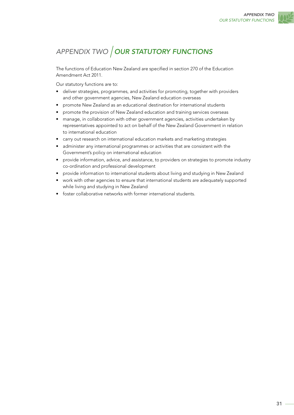<span id="page-32-0"></span>

The functions of Education New Zealand are specified in section 270 of the Education Amendment Act 2011.

Our statutory functions are to:

- deliver strategies, programmes, and activities for promoting, together with providers and other government agencies, New Zealand education overseas
- promote New Zealand as an educational destination for international students
- promote the provision of New Zealand education and training services overseas
- manage, in collaboration with other government agencies, activities undertaken by representatives appointed to act on behalf of the New Zealand Government in relation to international education
- carry out research on international education markets and marketing strategies
- administer any international programmes or activities that are consistent with the Government's policy on international education
- • provide information, advice, and assistance, to providers on strategies to promote industry co-ordination and professional development
- provide information to international students about living and studying in New Zealand
- work with other agencies to ensure that international students are adequately supported while living and studying in New Zealand
- foster collaborative networks with former international students.